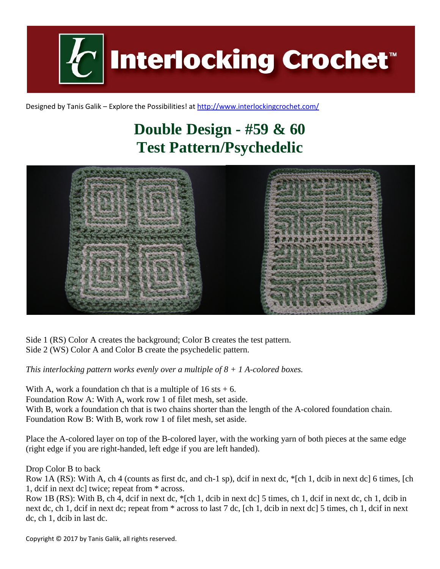

Designed by Tanis Galik – Explore the Possibilities! a[t http://www.interlockingcrochet.com/](http://www.interlockingcrochet.com/)

## **Double Design - #59 & 60 Test Pattern/Psychedelic**



Side 1 (RS) Color A creates the background; Color B creates the test pattern. Side 2 (WS) Color A and Color B create the psychedelic pattern.

*This interlocking pattern works evenly over a multiple of 8 + 1 A-colored boxes.*

With A, work a foundation ch that is a multiple of  $16$  sts  $+ 6$ . Foundation Row A: With A, work row 1 of filet mesh, set aside. With B, work a foundation ch that is two chains shorter than the length of the A-colored foundation chain. Foundation Row B: With B, work row 1 of filet mesh, set aside.

Place the A-colored layer on top of the B-colored layer, with the working yarn of both pieces at the same edge (right edge if you are right-handed, left edge if you are left handed).

Drop Color B to back

Row 1A (RS): With A, ch 4 (counts as first dc, and ch-1 sp), dcif in next dc, \*[ch 1, dcib in next dc] 6 times, [ch 1, dcif in next dc] twice; repeat from \* across.

Row 1B (RS): With B, ch 4, dcif in next dc, \*[ch 1, dcib in next dc] 5 times, ch 1, dcif in next dc, ch 1, dcib in next dc, ch 1, dcif in next dc; repeat from \* across to last 7 dc, [ch 1, dcib in next dc] 5 times, ch 1, dcif in next dc, ch 1, dcib in last dc.

Copyright © 2017 by Tanis Galik, all rights reserved.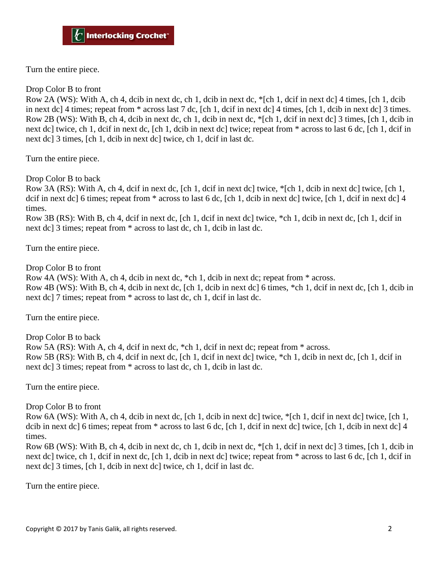Turn the entire piece.

Drop Color B to front

Row 2A (WS): With A, ch 4, dcib in next dc, ch 1, dcib in next dc, \*[ch 1, dcif in next dc] 4 times, [ch 1, dcib in next dc] 4 times; repeat from \* across last 7 dc, [ch 1, dcif in next dc] 4 times, [ch 1, dcib in next dc] 3 times. Row 2B (WS): With B, ch 4, dcib in next dc, ch 1, dcib in next dc, \*[ch 1, dcif in next dc] 3 times, [ch 1, dcib in next dc] twice, ch 1, dcif in next dc, [ch 1, dcib in next dc] twice; repeat from \* across to last 6 dc, [ch 1, dcif in next dc] 3 times, [ch 1, dcib in next dc] twice, ch 1, dcif in last dc.

Turn the entire piece.

Drop Color B to back

Row 3A (RS): With A, ch 4, dcif in next dc, [ch 1, dcif in next dc] twice, \*[ch 1, dcib in next dc] twice, [ch 1, dcif in next dc] 6 times; repeat from  $*$  across to last 6 dc, [ch 1, dcib in next dc] twice, [ch 1, dcif in next dc] 4 times.

Row 3B (RS): With B, ch 4, dcif in next dc, [ch 1, dcif in next dc] twice, \*ch 1, dcib in next dc, [ch 1, dcif in next dc] 3 times; repeat from \* across to last dc, ch 1, dcib in last dc.

Turn the entire piece.

Drop Color B to front

Row 4A (WS): With A, ch 4, dcib in next dc, \*ch 1, dcib in next dc; repeat from \* across. Row 4B (WS): With B, ch 4, dcib in next dc, [ch 1, dcib in next dc] 6 times, \*ch 1, dcif in next dc, [ch 1, dcib in next dc] 7 times; repeat from \* across to last dc, ch 1, dcif in last dc.

Turn the entire piece.

Drop Color B to back

Row 5A (RS): With A, ch 4, dcif in next dc, \*ch 1, dcif in next dc; repeat from \* across. Row 5B (RS): With B, ch 4, dcif in next dc, [ch 1, dcif in next dc] twice, \*ch 1, dcib in next dc, [ch 1, dcif in next dc] 3 times; repeat from \* across to last dc, ch 1, dcib in last dc.

Turn the entire piece.

Drop Color B to front

Row 6A (WS): With A, ch 4, dcib in next dc, [ch 1, dcib in next dc] twice, \*[ch 1, dcif in next dc] twice, [ch 1, dcib in next dc] 6 times; repeat from  $*$  across to last 6 dc, [ch 1, dcif in next dc] twice, [ch 1, dcib in next dc] 4 times.

Row 6B (WS): With B, ch 4, dcib in next dc, ch 1, dcib in next dc, \*[ch 1, dcif in next dc] 3 times, [ch 1, dcib in next dc] twice, ch 1, dcif in next dc, [ch 1, dcib in next dc] twice; repeat from \* across to last 6 dc, [ch 1, dcif in next dc] 3 times, [ch 1, dcib in next dc] twice, ch 1, dcif in last dc.

Turn the entire piece.